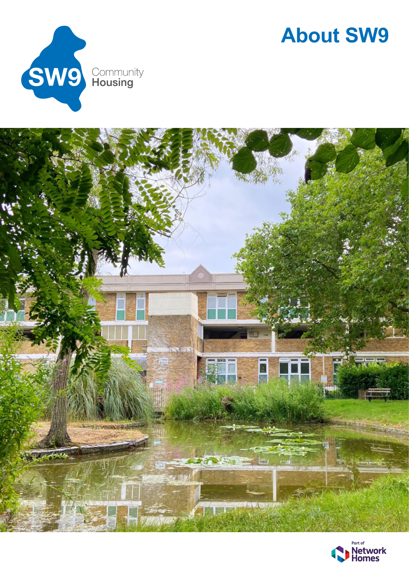

### **About SW9**



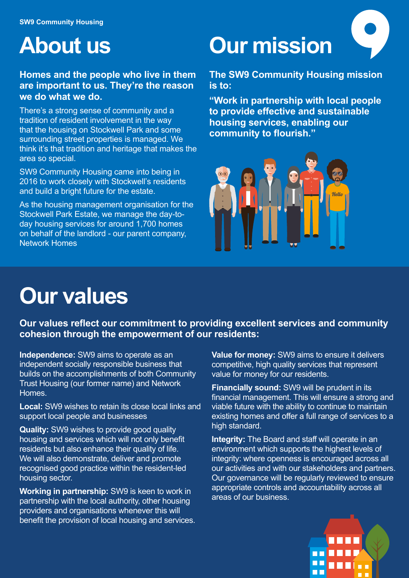### **About us**

### **Homes and the people who live in them are important to us. They're the reason we do what we do.**

There's a strong sense of community and a tradition of resident involvement in the way that the housing on Stockwell Park and some surrounding street properties is managed. We think it's that tradition and heritage that makes the area so special.

SW9 Community Housing came into being in 2016 to work closely with Stockwell's residents and build a bright future for the estate.

As the housing management organisation for the Stockwell Park Estate, we manage the day-today housing services for around 1,700 homes on behalf of the landlord - our parent company, Network Homes

# **Our mission**

**The SW9 Community Housing mission is to:** 

**"Work in partnership with local people to provide effective and sustainable housing services, enabling our community to flourish."** 



## **Our values**

**Our values reflect our commitment to providing excellent services and community cohesion through the empowerment of our residents:** 

**Independence:** SW9 aims to operate as an independent socially responsible business that builds on the accomplishments of both Community Trust Housing (our former name) and Network Homes.

**Local:** SW9 wishes to retain its close local links and support local people and businesses

**Quality:** SW9 wishes to provide good quality housing and services which will not only benefit residents but also enhance their quality of life. We will also demonstrate, deliver and promote recognised good practice within the resident-led housing sector.

**Working in partnership:** SW9 is keen to work in partnership with the local authority, other housing providers and organisations whenever this will benefit the provision of local housing and services. **Value for money:** SW9 aims to ensure it delivers competitive, high quality services that represent value for money for our residents.

**Financially sound:** SW9 will be prudent in its financial management. This will ensure a strong and viable future with the ability to continue to maintain existing homes and offer a full range of services to a high standard.

**Integrity:** The Board and staff will operate in an environment which supports the highest levels of integrity: where openness is encouraged across all our activities and with our stakeholders and partners. Our governance will be regularly reviewed to ensure appropriate controls and accountability across all areas of our business.

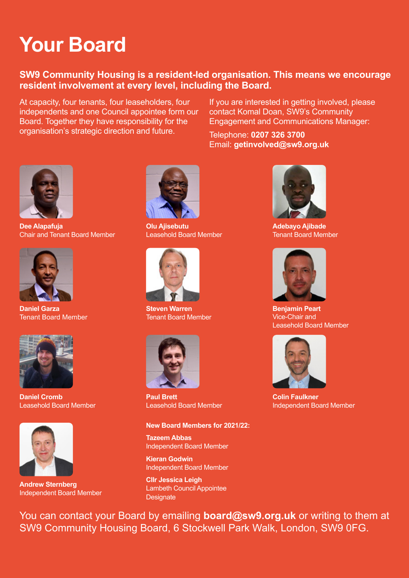## **Your Board**

### **SW9 Community Housing is a resident-led organisation. This means we encourage resident involvement at every level, including the Board.**

At capacity, four tenants, four leaseholders, four independents and one Council appointee form our Board. Together they have responsibility for the organisation's strategic direction and future.

If you are interested in getting involved, please contact Komal Doan, SW9's Community Engagement and Communications Manager:

Telephone: **0207 326 3700** Email: **getinvolved@sw9.org.uk**



**Dee Alapafuja** Chair and Tenant Board Member



**Daniel Garza** Tenant Board Member



**Daniel Cromb**  Leasehold Board Member



**Andrew Sternberg** Independent Board Member



**Olu Ajisebutu**  Leasehold Board Member



**Steven Warren** Tenant Board Member



**Paul Brett**  Leasehold Board Member

#### **New Board Members for 2021/22:**

**Tazeem Abbas** Independent Board Member

**Kieran Godwin** Independent Board Member

**Cllr Jessica Leigh** Lambeth Council Appointee **Designate** 



**Adebayo Ajibade** Tenant Board Member



**Benjamin Peart** Vice-Chair and Leasehold Board Member



**Colin Faulkner** Independent Board Member

You can contact your Board by emailing **board@sw9.org.uk** or writing to them at SW9 Community Housing Board, 6 Stockwell Park Walk, London, SW9 0FG.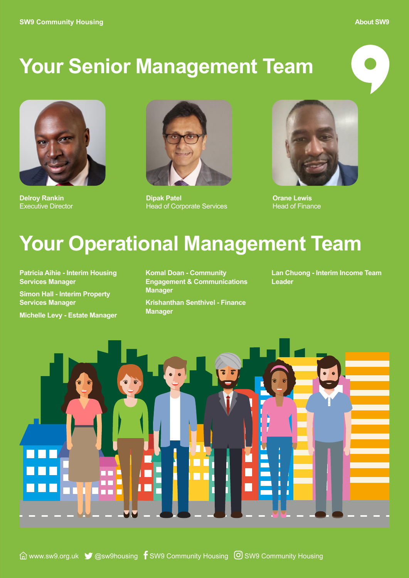#### **About SW9**

### **Your Senior Management Team**



**Delroy Rankin** Executive Director



**Dipak Patel** Head of Corporate Services



**Orane Lewis** Head of Finance

### **Your Operational Management Team**

**Patricia Aihie - Interim Housing Services Manager Simon Hall - Interim Property Services Manager** 

**Michelle Levy - Estate Manager** 

**Komal Doan - Community Engagement & Communications Manager Krishanthan Senthivel - Finance** 

**Manager** 

**Lan Chuong - Interim Income Team Leader**

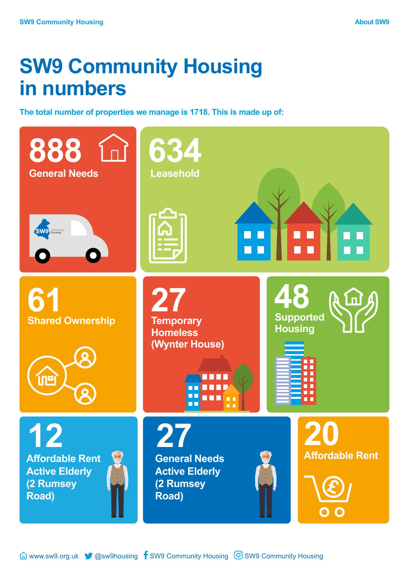### **SW9 Community Housing in numbers**

**The total number of properties we manage is 1718. This is made up of:**